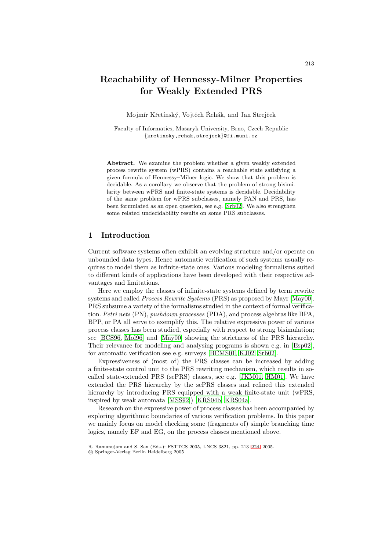# **Reachability of Hennessy-Milner Properties for Weakly Extended PRS**

Mojmír Křetínský, Vojtěch Řehák, and Jan Strejček

Faculty of Informatics, Masaryk University, Brno, Czech Republic *{*kretinsky,rehak,strejcek*}*@fi.muni.cz

**Abstract.** We examine the problem whether a given weakly extended process rewrite system (wPRS) contains a reachable state satisfying a given formula of Hennessy–Milner logic. We show that this problem is decidable. As a corollary we observe that the problem of strong bisimilarity between wPRS and finite-state systems is decidable. Decidability of the same problem for wPRS subclasses, namely PAN and PRS, has been formulated as an open question, see e.g. [\[Srb02\]](#page-10-0). We also strengthen some related undecidability results on some PRS subclasses.

# **1 Introduction**

Current software systems often exhibit an evolving structure and/or operate on unbounded data types. Hence automatic verification of such systems usually requires to model them as infinite-state ones. Various modeling formalisms suited to different kinds of applications have been developed with their respective advantages and limitations.

Here we employ the classes of infinite-state systems defined by term rewrite systems and called *Process Rewrite Systems* (PRS) as proposed by Mayr [\[May00\]](#page-10-1). PRS subsume a variety of the formalisms studied in the context of formal verification. *Petri nets* (PN), *pushdown processes* (PDA), and process algebras like BPA, BPP, or PA all serve to exemplify this. The relative expressive power of various process classes has been studied, especially with respect to strong bisimulation; see [\[BCS96,](#page-9-0) [Mol96\]](#page-10-2) and [\[May00\]](#page-10-1) showing the strictness of the PRS hierarchy. Their relevance for modeling and analysing programs is shown e.g. in [\[Esp02\]](#page-9-1), for automatic verification see e.g. surveys [\[BCMS01,](#page-9-2) [KJ02,](#page-10-3) [Srb02\]](#page-10-0).

Expressiveness of (most of) the PRS classes can be increased by adding a finite-state control unit to the PRS rewriting mechanism, which results in socalled state-extended PRS (sePRS) classes, see e.g. [\[JKM01,](#page-10-4) [HM01\]](#page-10-5). We have extended the PRS hierarchy by the sePRS classes and refined this extended hierarchy by introducing PRS equipped with a weak finite-state unit (wPRS, inspired by weak automata  $[MSS92]$ )  $[KRS04b, KRS04a]$  $[KRS04b, KRS04a]$  $[KRS04b, KRS04a]$ .

Research on the expressive power of process classes has been accompanied by exploring algorithmic boundaries of various verification problems. In this paper we mainly focus on model checking some (fragments of) simple branching time logics, namely EF and EG, on the process classes mentioned above.

R. Ramanujam and S. Sen (Eds.): FSTTCS 2005, LNCS 3821, pp. 213[–224,](#page-10-9) 2005.

c Springer-Verlag Berlin Heidelberg 2005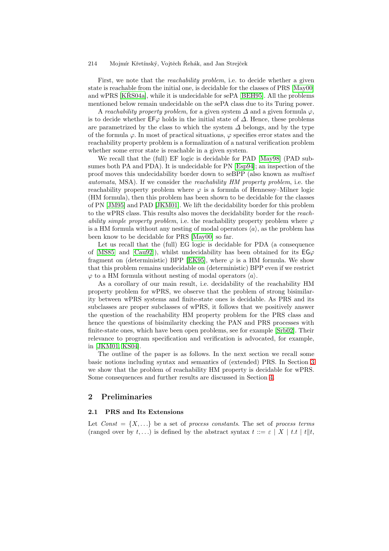First, we note that the *reachability problem*, i.e. to decide whether a given state is reachable from the initial one, is decidable for the classes of PRS [\[May00\]](#page-10-1) and wPRS  $[KR\check{K}S04a]$ , while it is undecidable for sePA [\[BEH95\]](#page-9-3). All the problems mentioned below remain undecidable on the sePA class due to its Turing power.

A *reachability property problem*, for a given system  $\Delta$  and a given formula  $\varphi$ , is to decide whether  $E\mathsf{F}\varphi$  holds in the initial state of  $\varDelta$ . Hence, these problems are parametrized by the class to which the system  $\Delta$  belongs, and by the type of the formula  $\varphi$ . In most of practical situations,  $\varphi$  specifies error states and the reachability property problem is a formalization of a natural verification problem whether some error state is reachable in a given system.

We recall that the (full) EF logic is decidable for PAD [\[May98\]](#page-10-10) (PAD subsumes both PA and PDA). It is undecidable for PN [\[Esp94\]](#page-9-4); an inspection of the proof moves this undecidability border down to seBPP (also known as *multiset automata*, MSA). If we consider the *reachability HM property problem*, i.e. the reachability property problem where  $\varphi$  is a formula of Hennessy–Milner logic (HM formula), then this problem has been shown to be decidable for the classes of PN [\[JM95\]](#page-10-11) and PAD [\[JKM01\]](#page-10-4). We lift the decidability border for this problem to the wPRS class. This results also moves the decidability border for the *reachability simple property problem*, i.e. the reachability property problem where  $\varphi$ is a HM formula without any nesting of modal operators  $\langle a \rangle$ , as the problem has been know to be decidable for PRS [\[May00\]](#page-10-1) so far.

Let us recall that the (full) EG logic is decidable for PDA (a consequence of [\[MS85\]](#page-10-12) and [\[Cau92\]](#page-9-5)), whilst undecidability has been obtained for its  $EG\varphi$ fragment on (deterministic) BPP [\[EK95\]](#page-9-6), where  $\varphi$  is a HM formula. We show that this problem remains undecidable on (deterministic) BPP even if we restrict  $\varphi$  to a HM formula without nesting of modal operators  $\langle a \rangle$ .

As a corollary of our main result, i.e. decidability of the reachability HM property problem for wPRS, we observe that the problem of strong bisimilarity between wPRS systems and finite-state ones is decidable. As PRS and its subclasses are proper subclasses of wPRS, it follows that we positively answer the question of the reachability HM property problem for the PRS class and hence the questions of bisimilarity checking the PAN and PRS processes with finite-state ones, which have been open problems, see for example [\[Srb02\]](#page-10-0). Their relevance to program specification and verification is advocated, for example, in [\[JKM01,](#page-10-4) [KS04\]](#page-10-13).

The outline of the paper is as follows. In the next section we recall some basic notions including syntax and semantics of (extended) PRS. In Section [3](#page-4-0) we show that the problem of reachability HM property is decidable for wPRS. Some consequences and further results are discussed in Section [4.](#page-7-0)

# <span id="page-1-0"></span>**2 Preliminaries**

# **2.1 PRS and Its Extensions**

Let  $Const = \{X, \ldots\}$  be a set of *process constants*. The set of *process terms* (ranged over by t,...) is defined by the abstract syntax  $t ::= \varepsilon | X | t.t | t | t$ ,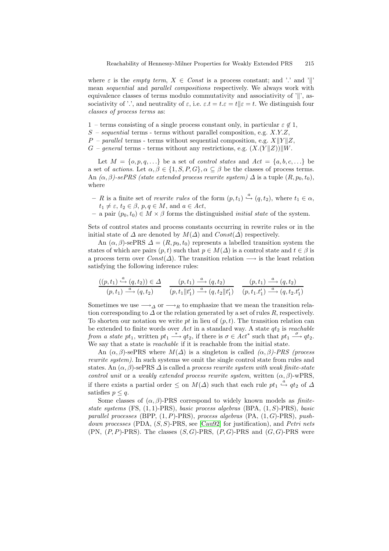where  $\varepsilon$  is the *empty term*,  $X \in Const$  is a process constant; and '.' and '.' mean *sequential* and *parallel compositions* respectively. We always work with equivalence classes of terms modulo commutativity and associativity of  $'\parallel$ , associativity of '.', and neutrality of  $\varepsilon$ , i.e.  $\varepsilon \cdot t = t \cdot \varepsilon = t$ . We distinguish four *classes of process terms* as:

- 1 terms consisting of a single process constant only, in particular  $\varepsilon \notin 1$ ,
- S *sequential* terms terms without parallel composition, e.g. X.Y.Z,
- $P$  *parallel* terms terms without sequential composition, e.g.  $X||Y||Z$ ,
- $G$  *general* terms terms without any restrictions, e.g.  $(X.(Y||Z))||W$ .

Let  $M = \{o, p, q, \ldots\}$  be a set of *control states* and  $Act = \{a, b, c, \ldots\}$  be a set of *actions*. Let  $\alpha, \beta \in \{1, S, P, G\}, \alpha \subseteq \beta$  be the classes of process terms. An  $(\alpha, \beta)$ -sePRS (state extended process rewrite system)  $\Delta$  is a tuple  $(R, p_0, t_0)$ , where

- $R$  is a finite set of *rewrite rules* of the form  $(p, t_1) \stackrel{a}{\hookrightarrow} (q, t_2)$ , where  $t_1 \in \alpha$ ,  $t_1 \neq \varepsilon$ ,  $t_2 \in \beta$ ,  $p, q \in M$ , and  $a \in Act$ ,
- $-$  a pair  $(p_0, t_0)$  ∈ *M* × *β* forms the distinguished *initial state* of the system.

Sets of control states and process constants occurring in rewrite rules or in the initial state of  $\Delta$  are denoted by  $M(\Delta)$  and  $Const(\Delta)$  respectively.

An  $(\alpha, \beta)$ -sePRS  $\Delta = (R, p_0, t_0)$  represents a labelled transition system the states of which are pairs  $(p, t)$  such that  $p \in M(\Delta)$  is a control state and  $t \in \beta$  is a process term over  $Const(\Delta)$ . The transition relation  $\longrightarrow$  is the least relation satisfying the following inference rules:

$$
\frac{((p,t_1)\stackrel{a}{\longrightarrow}(q,t_2))\in\varDelta}{(p,t_1)\stackrel{a}{\longrightarrow}(q,t_2)}-\frac{(p,t_1)\stackrel{a}{\longrightarrow}(q,t_2)}{(p,t_1\|t_1')\stackrel{a}{\longrightarrow}(q,t_2\|t_1')}-\frac{(p,t_1)\stackrel{a}{\longrightarrow}(q,t_2)}{(p,t_1.t_1')\stackrel{a}{\longrightarrow}(q,t_2.t_1')}
$$

Sometimes we use  $\longrightarrow_{\Delta}$  or  $\longrightarrow_{R}$  to emphasize that we mean the transition relation corresponding to  $\Delta$  or the relation generated by a set of rules R, respectively. To shorten our notation we write pt in lieu of  $(p, t)$ . The transition relation can be extended to finite words over  $Act$  in a standard way. A state  $qt_2$  is *reachable from a state* pt<sub>1</sub>, written  $pt_1 \stackrel{*}{\longrightarrow} qt_2$ , if there is  $\sigma \in Act^*$  such that  $pt_1 \stackrel{\sigma}{\longrightarrow} qt_2$ . We say that a state is *reachable* if it is reachable from the initial state.

An  $(\alpha, \beta)$ -sePRS where  $M(\Delta)$  is a singleton is called  $(\alpha, \beta)$ -*PRS (process*) *rewrite system)*. In such systems we omit the single control state from rules and states. An  $(\alpha, \beta)$ -sePRS  $\Delta$  is called a *process rewrite system with weak finite-state control unit* or a *weakly extended process rewrite system*, written  $(\alpha, \beta)$ -wPRS, if there exists a partial order  $\leq$  on  $M(\Delta)$  such that each rule  $pt_1 \stackrel{a}{\hookrightarrow} qt_2$  of  $\Delta$ satisfies  $p < q$ .

Some classes of  $(\alpha, \beta)$ -PRS correspond to widely known models as *finitestate systems* (FS, (1, 1)-PRS), *basic process algebras* (BPA, (1, S)-PRS), *basic parallel processes* (BPP, (1, P)-PRS), *process algebras* (PA, (1, G)-PRS), *pushdown processes* (PDA, (S, S)-PRS, see [\[Cau92\]](#page-9-5) for justification), and *Petri nets*  $(PN, (P, P)-PRS)$ . The classes  $(S, G)-PRS, (P, G)-PRS$  and  $(G, G)-PRS$  were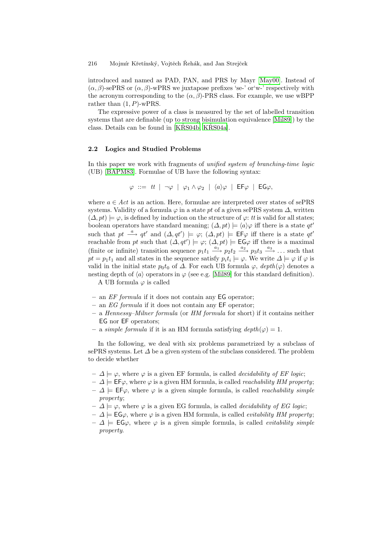introduced and named as PAD, PAN, and PRS by Mayr [\[May00\]](#page-10-1). Instead of  $(\alpha, \beta)$ -sePRS or  $(\alpha, \beta)$ -wPRS we juxtapose prefixes 'se-' or'w-' respectively with the acronym corresponding to the  $(\alpha, \beta)$ -PRS class. For example, we use wBPP rather than  $(1, P)$ -wPRS.

The expressive power of a class is measured by the set of labelled transition systems that are definable (up to strong bisimulation equivalence [\[Mil89\]](#page-10-14)) by the class. Details can be found in  $[KRSS04b, KRS04a]$  $[KRSS04b, KRS04a]$ .

#### **2.2 Logics and Studied Problems**

In this paper we work with fragments of *unified system of branching-time logic* (UB) [\[BAPM83\]](#page-9-7). Formulae of UB have the following syntax:

$$
\varphi \ ::= \ tt \ \ | \ \ \neg \varphi \ \ | \ \ \varphi_1 \wedge \varphi_2 \ \ | \ \ \langle a \rangle \varphi \ \ | \ \ \mathsf{EF} \varphi \ \ | \ \ \mathsf{EG} \varphi,
$$

where  $a \in Act$  is an action. Here, formulae are interpreted over states of sePRS systems. Validity of a formula  $\varphi$  in a state pt of a given sePRS system  $\Delta$ , written  $(\Delta, pt) \models \varphi$ , is defined by induction on the structure of  $\varphi$ : *tt* is valid for all states; boolean operators have standard meaning;  $(\Delta, pt) \models \langle a \rangle \varphi$  iff there is a state  $qt'$ such that  $pt \stackrel{a}{\longrightarrow} qt'$  and  $(\Delta, qt') \models \varphi$ ;  $(\Delta, pt) \models \textsf{EF}\varphi$  iff there is a state  $qt'$ reachable from pt such that  $(\Delta, qt') \models \varphi$ ;  $(\Delta, pt) \models \mathsf{EG}\varphi$  iff there is a maximal (finite or infinite) transition sequence  $p_1t_1 \xrightarrow{a_1} p_2t_2 \xrightarrow{a_2} p_3t_3 \xrightarrow{a_3} \dots$  such that  $pt = p_1t_1$  and all states in the sequence satisfy  $p_it_i \models \varphi$ . We write  $\Delta \models \varphi$  if  $\varphi$  is valid in the initial state  $p_0t_0$  of  $\Delta$ . For each UB formula  $\varphi$ ,  $depth(\varphi)$  denotes a nesting depth of  $\langle a \rangle$  operators in  $\varphi$  (see e.g. [\[Mil89\]](#page-10-14) for this standard definition).

A UB formula  $\varphi$  is called

- **–** an *EF formula* if it does not contain any EG operator;
- **–** an *EG formula* if it does not contain any EF operator;
- **–** a *Hennessy–Milner formula* (or *HM formula* for short) if it contains neither EG nor EF operators;
- $–\text{ a simple formula if it is an HM formula satisfying }\text{depth}(\varphi) = 1.$

In the following, we deal with six problems parametrized by a subclass of sePRS systems. Let  $\Delta$  be a given system of the subclass considered. The problem to decide whether

- $-$  △  $\models \varphi$ , where  $\varphi$  is a given EF formula, is called *decidability of EF logic*;
- $−$  Δ  $\models$  **EF** $\varphi$ , where  $\varphi$  is a given HM formula, is called *reachability HM property*;
- $− Δ |=$  **EF** $\varphi$ , where  $\varphi$  is a given simple formula, is called *reachability simple property*;
- $−\Delta$   $\models$  *ϕ*, where  $ϕ$  is a given EG formula, is called *decidability of EG logic*;
- $−$  Δ  $\models$  **EG** $\varphi$ , where  $\varphi$  is a given HM formula, is called *evitability HM property*;
- $-$  Δ  $\equiv$  **EG** $\varphi$ , where  $\varphi$  is a given simple formula, is called *evitability simple property*.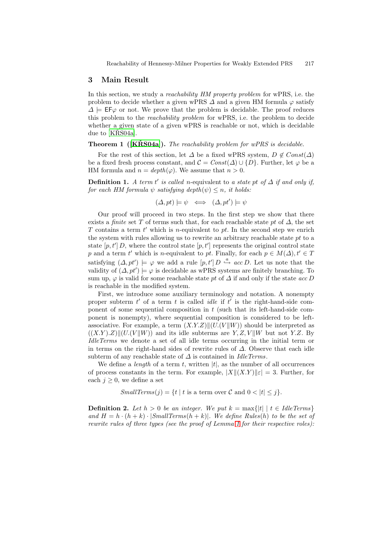## <span id="page-4-0"></span>**3 Main Result**

In this section, we study a *reachability HM property problem* for wPRS, i.e. the problem to decide whether a given wPRS  $\Delta$  and a given HM formula  $\varphi$  satisfy  $\Delta \models$  EF $\varphi$  or not. We prove that the problem is decidable. The proof reduces this problem to the *reachability problem* for wPRS, i.e. the problem to decide whether a given state of a given wPRS is reachable or not, which is decidable due to  $[KRS04a]$ .

### <span id="page-4-1"></span>**Theorem 1 ([\[KRS04a\]](#page-10-8)). ˇ** *The reachability problem for wPRS is decidable.*

For the rest of this section, let  $\Delta$  be a fixed wPRS system,  $D \notin Const(\Delta)$ be a fixed fresh process constant, and  $\mathcal{C} = Const(\Delta) \cup \{D\}$ . Further, let  $\varphi$  be a HM formula and  $n = depth(\varphi)$ . We assume that  $n > 0$ .

**Definition 1.** *A term t' is called n*-equivalent to *a state pt of*  $\Delta$  *if and only if, for each HM formula*  $\psi$  *satisfying depth* $(\psi) \leq n$ *, it holds:* 

$$
(\Delta, pt) \models \psi \iff (\Delta, pt') \models \psi
$$

Our proof will proceed in two steps. In the first step we show that there exists a *finite* set T of terms such that, for each reachable state pt of  $\Delta$ , the set T contains a term  $t'$  which is n-equivalent to pt. In the second step we enrich the system with rules allowing us to rewrite an arbitrary reachable state pt to a state  $[p, t']$  D, where the control state  $[p, t']$  represents the original control state p and a term t' which is n-equivalent to pt. Finally, for each  $p \in M(\Delta)$ ,  $t' \in T$ satisfying  $(\Delta, pt') \models \varphi$  we add a rule  $[p, t']$   $D \stackrel{a}{\hookrightarrow} acc D$ . Let us note that the validity of  $(\Delta, pt') \models \varphi$  is decidable as wPRS systems are finitely branching. To sum up,  $\varphi$  is valid for some reachable state pt of  $\Delta$  if and only if the state  $acc D$ is reachable in the modified system.

First, we introduce some auxiliary terminology and notation. A nonempty proper subterm  $t'$  of a term  $t$  is called *idle* if  $t'$  is the right-hand-side component of some sequential composition in  $t$  (such that its left-hand-side component is nonempty), where sequential composition is considered to be leftassociative. For example, a term  $(X,Y,Z)$   $\parallel$   $(U(V||W))$  should be interpreted as  $((X.Y).Z)||(U.(V||W))$  and its idle subterms are Y, Z, V||W but not Y.Z. By *IdleTerms* we denote a set of all idle terms occurring in the initial term or in terms on the right-hand sides of rewrite rules of  $\Delta$ . Observe that each idle subterm of any reachable state of ∆ is contained in *IdleTerms*.

We define a *length* of a term t, written  $|t|$ , as the number of all occurrences of process constants in the term. For example,  $|X||(X,Y)||\epsilon| = 3$ . Further, for each  $j \geq 0$ , we define a set

*SmallTerms* $(j) = \{t \mid t \text{ is a term over } C \text{ and } 0 < |t| \leq j\}.$ 

**Definition 2.** Let  $h > 0$  be an integer. We put  $k = \max\{|t| | t \in \text{IdleTerms}\}\$ *and*  $H = h \cdot (h + k) \cdot |SmallTerms(h + k)|$ *. We define Rules*(*h*) *to be the set of rewrite rules of three types (see the proof of Lemma [1](#page-5-0) for their respective roles):*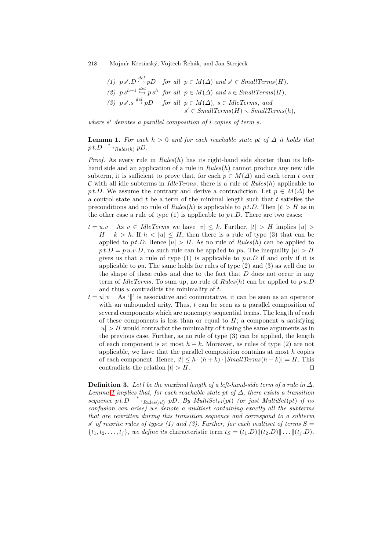\n- (1) 
$$
p s'.D \stackrel{del}{\hookrightarrow} pD
$$
 for all  $p \in M(\Delta)$  and  $s' \in SmallTerms(H)$ ,
\n- (2)  $p s^{h+1} \stackrel{del}{\hookrightarrow} p s^h$  for all  $p \in M(\Delta)$  and  $s \in SmallTerms(H)$ ,
\n- (3)  $p s'.s \stackrel{del}{\hookrightarrow} pD$  for all  $p \in M(\Delta)$ ,  $s \in IdleTerms$ , and  $s' \in SmallTerms(H) \setminus SmallTerms(h)$ ,
\n

<span id="page-5-0"></span>*where* s<sup>i</sup> *denotes a parallel composition of* i *copies of term* s*.*

**Lemma 1.** *For each*  $h > 0$  *and for each reachable state pt of*  $\Delta$  *it holds that*  $p t.D \stackrel{*}{\longrightarrow}_{\text{Rules}(h)} p D.$ 

*Proof.* As every rule in  $Rules(h)$  has its right-hand side shorter than its lefthand side and an application of a rule in *Rules*(h) cannot produce any new idle subterm, it is sufficient to prove that, for each  $p \in M(\Delta)$  and each term t over C with all idle subterms in *IdleTerms*, there is a rule of *Rules*(h) applicable to pt.D. We assume the contrary and derive a contradiction. Let  $p \in M(\Delta)$  be a control state and  $t$  be a term of the minimal length such that  $t$  satisfies the preconditions and no rule of  $Rules(h)$  is applicable to  $pt.D$ . Then  $|t| > H$  as in the other case a rule of type  $(1)$  is applicable to  $pt.D$ . There are two cases:

- $t = u.v$  As  $v \in \text{IdleTerms}$  we have  $|v| \leq k$ . Further,  $|t| > H$  implies  $|u| >$  $H - k > h$ . If  $h < |u| \leq H$ , then there is a rule of type (3) that can be applied to pt.D. Hence  $|u| > H$ . As no rule of *Rules*(*h*) can be applied to  $p t.D = p u.v.D$ , no such rule can be applied to pu. The inequality  $|u| > H$ gives us that a rule of type  $(1)$  is applicable to  $p u.D$  if and only if it is applicable to pu. The same holds for rules of type  $(2)$  and  $(3)$  as well due to the shape of these rules and due to the fact that  $D$  does not occur in any term of *IdleTerms*. To sum up, no rule of *Rules*(h) can be applied to p u.D and thus  $u$  contradicts the minimality of  $t$ .
- $t = u||v$  As '||' is associative and commutative, it can be seen as an operator with an unbounded arity. Thus,  $t$  can be seen as a parallel composition of several components which are nonempty sequential terms. The length of each of these components is less than or equal to  $H$ ; a component u satisfying  $|u| > H$  would contradict the minimality of t using the same arguments as in the previous case. Further, as no rule of type (3) can be applied, the length of each component is at most  $h + k$ . Moreover, as rules of type (2) are not applicable, we have that the parallel composition contains at most  $h$  copies of each component. Hence,  $|t| \leq h \cdot (h+k) \cdot |SmallTerms(h+k)| = H$ . This contradicts the relation  $|t| > H$ .

**Definition 3.** Let l be the maximal length of a left-hand-side term of a rule in  $\Delta$ . *Lemma* [1](#page-5-0) *implies that, for each reachable state* pt *of*  $\Delta$ *, there exists a transition sequence*  $p t.D \xrightarrow{*}$ *Rules*(*nl*)  $p D. By MultiSet<sub>nl</sub>(pt)$  *(or just MultiSet*(*pt*) *if no confusion can arise) we denote a multiset containing exactly all the subterms that are rewritten during this transition sequence and correspond to a subterm*  $s'$  of rewrite rules of types (1) and (3). Further, for each multiset of terms  $S =$  $\{t_1, t_2, \ldots, t_j\}$ *, we define its characteristic term*  $t_S = (t_1.D) || (t_2.D) || \ldots || (t_j.D)$ *.*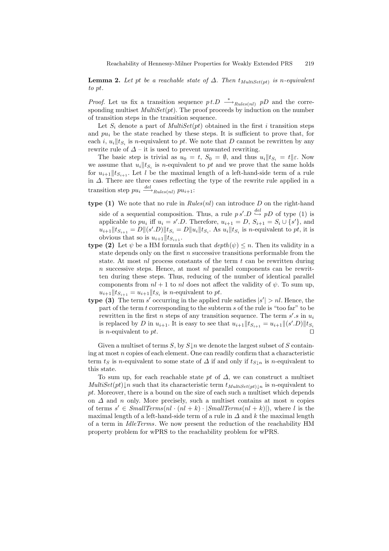**Lemma 2.** Let pt be a reachable state of  $\Delta$ . Then  $t_{MultiSet(nt)}$  is n-equivalent *to* pt*.*

*Proof.* Let us fix a transition sequence  $pt.D \stackrel{*}{\longrightarrow}_{Rules(nl)} pD$  and the corresponding multiset *MultiSet(pt)*. The proof proceeds by induction on the number of transition steps in the transition sequence.

Let  $S_i$  denote a part of *MultiSet*(*pt*) obtained in the first *i* transition steps and  $pu_i$  be the state reached by these steps. It is sufficient to prove that, for each i,  $u_i$   $||t_S$  is *n*-equivalent to *pt*. We note that *D* cannot be rewritten by any rewrite rule of  $\Delta$  – it is used to prevent unwanted rewriting.

The basic step is trivial as  $u_0 = t$ ,  $S_0 = \emptyset$ , and thus  $u_i || t_{S_i} = t || \varepsilon$ . Now we assume that  $u_i||t_{S_i}$  is *n*-equivalent to pt and we prove that the same holds for  $u_{i+1}$   $||t_{S_{i+1}}$ . Let l be the maximal length of a left-hand-side term of a rule in ∆. There are three cases reflecting the type of the rewrite rule applied in a transition step  $pu_i \stackrel{del}{\longrightarrow}_{Rules(nl)} pu_{i+1}$ :

- **type (1)** We note that no rule in  $Rules(nl)$  can introduce  $D$  on the right-hand side of a sequential composition. Thus, a rule  $p s'.D \stackrel{del}{\hookrightarrow} pD$  of type (1) is applicable to  $pu_i$  iff  $u_i = s'.D$ . Therefore,  $u_{i+1} = D$ ,  $S_{i+1} = S_i \cup \{s'\}$ , and  $u_{i+1}$   $||t_{S_{i+1}} = D ||(s'.D)||t_{S_i} = D ||u_i||t_{S_i}$ . As  $u_i ||t_{S_i}$  is *n*-equivalent to pt, it is obvious that so is  $u_{i+1}$   $||t_{S_{i+1}}$ .
- **type (2)** Let  $\psi$  be a HM formula such that  $depth(\psi) \leq n$ . Then its validity in a state depends only on the first  $n$  successive transitions performable from the state. At most  $nl$  process constants of the term  $t$  can be rewritten during  $n$  successive steps. Hence, at most  $nl$  parallel components can be rewritten during these steps. Thus, reducing of the number of identical parallel components from  $nl + 1$  to nl does not affect the validity of  $\psi$ . To sum up,  $u_{i+1}$   $\|t_{S_{i+1}} = u_{i+1}$   $\|t_{S_i}$  is *n*-equivalent to *pt*.
- **type (3)** The term s' occurring in the applied rule satisfies  $|s'| > nl$ . Hence, the part of the term t corresponding to the subterm s of the rule is "too far" to be rewritten in the first *n* steps of any transition sequence. The term  $s'.s$  in  $u_i$ is replaced by D in  $u_{i+1}$ . It is easy to see that  $u_{i+1} || t_{S_{i+1}} = u_{i+1} || (s'.D) || t_{S_i}$ is *n*-equivalent to  $pt$ .

Given a multiset of terms S, by  $S\downarrow n$  we denote the largest subset of S containing at most n copies of each element. One can readily confirm that a characteristic term  $t<sub>S</sub>$  is n-equivalent to some state of  $\Delta$  if and only if  $t<sub>S</sub>_{n}$  is n-equivalent to this state.

<span id="page-6-0"></span>To sum up, for each reachable state pt of  $\Delta$ , we can construct a multiset *MultiSet*(pt)\left) a such that its characteristic term  $t_{MultiSet(pt)\downarrow n}$  is n-equivalent to pt. Moreover, there is a bound on the size of each such a multiset which depends on  $\Delta$  and n only. More precisely, such a multiset contains at most n copies of terms  $s' \in SmallTerms(nl \cdot (nl + k) \cdot |SmallTerms(nl + k)|)$ , where l is the maximal length of a left-hand-side term of a rule in  $\Delta$  and k the maximal length of a term in *IdleTerms*. We now present the reduction of the reachability HM property problem for wPRS to the reachability problem for wPRS.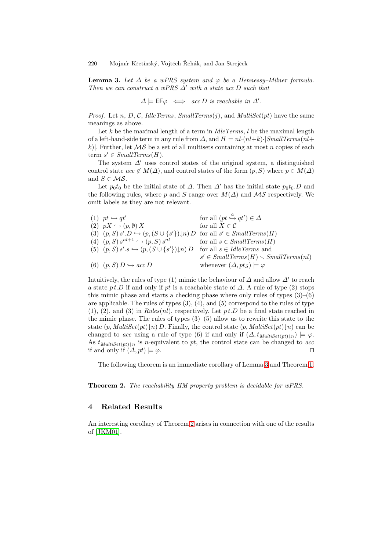**Lemma 3.** Let  $\Delta$  be a wPRS system and  $\varphi$  be a Hennessy–Milner formula. *Then we can construct a wPRS*  $\Delta'$  *with a state acc* D *such that* 

 $\Delta \models \mathsf{EF}\varphi \iff \mathit{acc}\,D \text{ is reachable in } \Delta'.$ 

*Proof.* Let n, D, C, *IdleTerms*, *SmallTerms* $(i)$ , and *MultiSet* $(pt)$  have the same meanings as above.

Let k be the maximal length of a term in *IdleTerms*, l be the maximal length of a left-hand-side term in any rule from  $\Delta$ , and  $H = nl \cdot (nl + k) \cdot |SmallTerms(nl +$ k). Further, let  $\mathcal{MS}$  be a set of all multisets containing at most n copies of each term  $s' \in SmallTerms(H)$ .

The system  $\Delta'$  uses control states of the original system, a distinguished control state  $acc \notin M(\Delta)$ , and control states of the form  $(p, S)$  where  $p \in M(\Delta)$ and  $S \in \mathcal{MS}$ .

Let  $p_0 t_0$  be the initial state of  $\Delta$ . Then  $\Delta'$  has the initial state  $p_0 t_0 D$  and the following rules, where p and S range over  $M(\Delta)$  and  $\mathcal{MS}$  respectively. We omit labels as they are not relevant.

 $(1)$  pt  $\hookrightarrow qt'$  $f$  for all  $(pt \stackrel{a}{\hookrightarrow} qt') \in \Delta$ (2)  $pX \hookrightarrow (p, \emptyset) X$  for all  $X \in \mathcal{C}$  $(3)$   $(p, S) s'.D \hookrightarrow (p, (S \cup \{s'\})\downarrow n) D$  for all  $s' \in SmallTerms(H)$ (4)  $(p, S) s^{nl+1} \hookrightarrow (p, S) s^{nl}$  for all  $s \in SmallTerms(H)$ (5)  $(p, S) s'.s \hookrightarrow (p, (S \cup \{s'\})$ for all  $s \in$  *IdleTerms* and  $s' \in SmallTerms(H) \setminus SmallTerms(nl)$ (6)  $(p, S) D \hookrightarrow acc D$  whenever  $(\Delta, pt_S) \models \varphi$ 

Intuitively, the rules of type (1) mimic the behaviour of  $\Delta$  and allow  $\Delta'$  to reach a state p t.D if and only if pt is a reachable state of  $\Delta$ . A rule of type (2) stops this mimic phase and starts a checking phase where only rules of types  $(3)-(6)$ are applicable. The rules of types (3), (4), and (5) correspond to the rules of type  $(1), (2),$  and  $(3)$  in *Rules* $(nl)$ , respectively. Let  $p t.D$  be a final state reached in the mimic phase. The rules of types  $(3)$ – $(5)$  allow us to rewrite this state to the state  $(p, Multiset(pt) \mid n) D$ . Finally, the control state  $(p, Multiset(pt) \mid n)$  can be changed to *acc* using a rule of type (6) if and only if  $(\Delta, t_{MultiSet(pt)}|_{n}) \models \varphi$ . As  $t_{MultiSet(pt)\downarrow n}$  is *n*-equivalent to *pt*, the control state can be changed to *acc* if and only if  $(\Delta, pt) \models \varphi$ . if and only if  $(\Delta, pt) \models \varphi$ .

The following theorem is an immediate corollary of Lemma [3](#page-6-0) and Theorem [1.](#page-4-1)

<span id="page-7-1"></span>**Theorem 2.** *The reachability HM property problem is decidable for wPRS.*

## <span id="page-7-0"></span>**4 Related Results**

<span id="page-7-2"></span>An interesting corollary of Theorem [2](#page-7-1) arises in connection with one of the results of [\[JKM01\]](#page-10-4).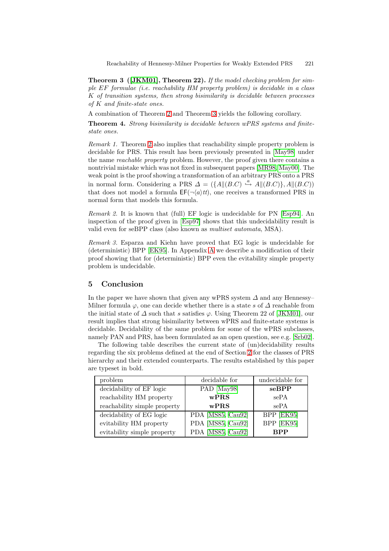**Theorem 3 ([\[JKM01\]](#page-10-4), Theorem 22).** *If the model checking problem for simple* EF *formulae (i.e. reachability HM property problem) is decidable in a class* K *of transition systems, then strong bisimilarity is decidable between processes of* K *and finite-state ones.*

A combination of Theorem [2](#page-7-1) and Theorem [3](#page-7-2) yields the following corollary.

**Theorem 4.** *Strong bisimilarity is decidable between wPRS systems and finitestate ones.*

*Remark 1.* Theorem [2](#page-7-1) also implies that reachability simple property problem is decidable for PRS. This result has been previously presented in [\[May98\]](#page-10-10) under the name *reachable property* problem. However, the proof given there contains a nontrivial mistake which was not fixed in subsequent papers [\[MR98,](#page-10-15) [May00\]](#page-10-1). The weak point is the proof showing a transformation of an arbitrary PRS onto a PRS in normal form. Considering a PRS  $\Delta = (\{A \| (B.C) \stackrel{a}{\hookrightarrow} A \| (B.C)\}, A \| (B.C))$ that does not model a formula  $EF(\neg \langle a \rangle tt)$ , one receives a transformed PRS in normal form that models this formula.

*Remark 2.* It is known that (full) EF logic is undecidable for PN [\[Esp94\]](#page-9-4). An inspection of the proof given in [\[Esp97\]](#page-9-8) shows that this undecidability result is valid even for seBPP class (also known as *multiset automata*, MSA).

*Remark 3.* Esparza and Kiehn have proved that EG logic is undecidable for (deterministic) BPP [\[EK95\]](#page-9-6). In Appendix [A](#page-10-16) we describe a modification of their proof showing that for (deterministic) BPP even the evitability simple property problem is undecidable.

## **5 Conclusion**

In the paper we have shown that given any wPRS system  $\Delta$  and any Hennessy– Milner formula  $\varphi$ , one can decide whether there is a state s of  $\Delta$  reachable from the initial state of  $\Delta$  such that s satisfies  $\varphi$ . Using Theorem 22 of [\[JKM01\]](#page-10-4), our result implies that strong bisimilarity between wPRS and finite-state systems is decidable. Decidability of the same problem for some of the wPRS subclasses, namely PAN and PRS, has been formulated as an open question, see e.g. [\[Srb02\]](#page-10-0).

The following table describes the current state of (un)decidability results regarding the six problems defined at the end of Section [2](#page-1-0) for the classes of PRS hierarchy and their extended counterparts. The results established by this paper are typeset in bold.

| problem                      | decidable for     | undecidable for |
|------------------------------|-------------------|-----------------|
| decidability of EF logic     | PAD [May98]       | seBPP           |
| reachability HM property     | wPRS              | sePA            |
| reachability simple property | wPRS              | sePA            |
| decidability of EG logic     | PDA [MS85, Cau92] | BPP [EK95]      |
| evitability HM property      | PDA [MS85, Cau92] | BPP [EK95]      |
| evitability simple property  | PDA [MS85, Cau92] | <b>RPP</b>      |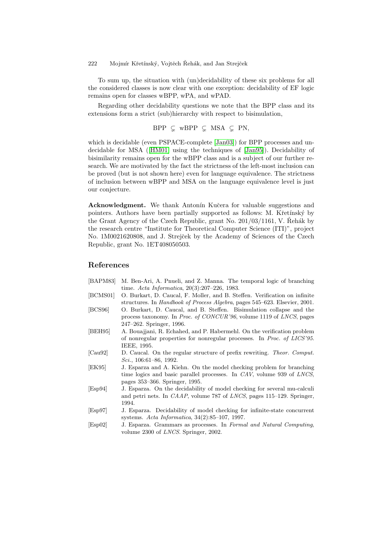To sum up, the situation with (un)decidability of these six problems for all the considered classes is now clear with one exception: decidability of EF logic remains open for classes wBPP, wPA, and wPAD.

Regarding other decidability questions we note that the BPP class and its extensions form a strict (sub)hierarchy with respect to bisimulation,

$$
BPP \subseteq wBPP \subseteq MSA \subseteq PN,
$$

which is decidable (even PSPACE-complete [\[Jan03\]](#page-10-17)) for BPP processes and undecidable for MSA ([\[HM01\]](#page-10-5) using the techniques of [\[Jan95\]](#page-10-18)). Decidability of bisimilarity remains open for the wBPP class and is a subject of our further research. We are motivated by the fact the strictness of the left-most inclusion can be proved (but is not shown here) even for language equivalence. The strictness of inclusion between wBPP and MSA on the language equivalence level is just our conjecture.

**Acknowledgment.** We thank Antonín Kučera for valuable suggestions and pointers. Authors have been partially supported as follows: M. Křetínský by the Grant Agency of the Czech Republic, grant No.  $201/03/1161$ , V. Rehák by the research centre "Institute for Theoretical Computer Science (ITI)", project No. 1M0021620808, and J. Strejček by the Academy of Sciences of the Czech Republic, grant No. 1ET408050503.

# **References**

- <span id="page-9-7"></span>[BAPM83] M. Ben-Ari, A. Pnueli, and Z. Manna. The temporal logic of branching time. *Acta Informatica*, 20(3):207–226, 1983.
- <span id="page-9-2"></span>[BCMS01] O. Burkart, D. Caucal, F. Moller, and B. Steffen. Verification on infinite structures. In *Handbook of Process Algebra*, pages 545–623. Elsevier, 2001.
- <span id="page-9-0"></span>[BCS96] O. Burkart, D. Caucal, and B. Steffen. Bisimulation collapse and the process taxonomy. In *Proc. of CONCUR'96*, volume 1119 of *LNCS*, pages 247–262. Springer, 1996.
- <span id="page-9-3"></span>[BEH95] A. Bouajjani, R. Echahed, and P. Habermehl. On the verification problem of nonregular properties for nonregular processes. In *Proc. of LICS'95*. IEEE, 1995.
- <span id="page-9-5"></span>[Cau92] D. Caucal. On the regular structure of prefix rewriting. *Theor. Comput. Sci.*, 106:61–86, 1992.
- <span id="page-9-6"></span>[EK95] J. Esparza and A. Kiehn. On the model checking problem for branching time logics and basic parallel processes. In *CAV*, volume 939 of *LNCS*, pages 353–366. Springer, 1995.
- <span id="page-9-4"></span>[Esp94] J. Esparza. On the decidability of model checking for several mu-calculi and petri nets. In *CAAP*, volume 787 of *LNCS*, pages 115–129. Springer, 1994.
- <span id="page-9-8"></span>[Esp97] J. Esparza. Decidability of model checking for infinite-state concurrent systems. *Acta Informatica*, 34(2):85–107, 1997.
- <span id="page-9-1"></span>[Esp02] J. Esparza. Grammars as processes. In *Formal and Natural Computing*, volume 2300 of *LNCS*. Springer, 2002.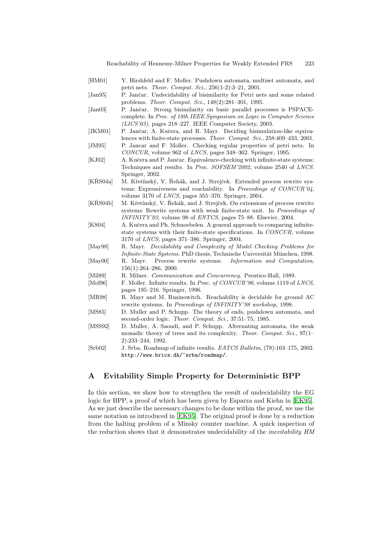- <span id="page-10-9"></span><span id="page-10-5"></span>[HM01] Y. Hirshfeld and F. Moller. Pushdown automata, multiset automata, and petri nets. *Theor. Comput. Sci.*, 256(1-2):3–21, 2001.
- <span id="page-10-18"></span>[Jan95] P. Jančar. Undecidability of bisimilarity for Petri nets and some related problems. *Theor. Comput. Sci.*, 148(2):281–301, 1995.
- <span id="page-10-17"></span>[Jan03] P. Jančar. Strong bisimilarity on basic parallel processes is PSPACEcomplete. In *Proc. of 18th IEEE Symposium on Logic in Computer Science (LICS'03)*, pages 218–227. IEEE Computer Society, 2003.
- <span id="page-10-4"></span>[JKM01] P. Jančar, A. Kučera, and R. Mayr. Deciding bisimulation-like equivalences with finite-state processes. *Theor. Comput. Sci.*, 258:409–433, 2001. [JM95] P. Jancar and F. Moller. Checking regular properties of petri nets. In
- <span id="page-10-11"></span>*CONCUR*, volume 962 of *LNCS*, pages 348–362. Springer, 1995.
- <span id="page-10-3"></span>[KJ02] A. Kučera and P. Jančar. Equivalence-checking with infinite-state systems: Techniques and results. In *Proc. SOFSEM'2002*, volume 2540 of *LNCS*. Springer, 2002.
- <span id="page-10-8"></span>[KŘS04a] M. Křetínský, V. Řehák, and J. Strejček. Extended process rewrite systems: Expressiveness and reachability. In *Proceedings of CONCUR'04*, volume 3170 of *LNCS*, pages 355–370. Springer, 2004.
- <span id="page-10-7"></span>[KŘS04b] M. Křetínský, V. Řehák, and J. Strejček. On extensions of process rewrite systems: Rewrite systems with weak finite-state unit. In *Proceedings of INFINITY'03*, volume 98 of *ENTCS*, pages 75–88. Elsevier, 2004.
- <span id="page-10-13"></span>[KS04] A. Kučera and Ph. Schnoebelen. A general approach to comparing infinitestate systems with their finite-state specifications. In *CONCUR*, volume 3170 of *LNCS*, pages 371–386. Springer, 2004.
- <span id="page-10-10"></span>[May98] R. Mayr. *Decidability and Complexity of Model Checking Problems for Infinite-State Systems*. PhD thesis, Technische Universität München, 1998.
- <span id="page-10-1"></span>[May00] R. Mayr. Process rewrite systems. *Information and Computation*, 156(1):264–286, 2000.
- <span id="page-10-14"></span>[Mil89] R. Milner. *Communication and Concurrency*. Prentice-Hall, 1989.
- <span id="page-10-2"></span>[Mol96] F. Moller. Infinite results. In *Proc. of CONCUR'96*, volume 1119 of *LNCS*, pages 195–216. Springer, 1996.
- <span id="page-10-15"></span>[MR98] R. Mayr and M. Rusinowitch. Reachability is decidable for ground AC rewrite systems. In *Proceedings of INFINITY'98 workshop*, 1998.
- <span id="page-10-12"></span>[MS85] D. Muller and P. Schupp. The theory of ends, pushdown automata, and second-order logic. *Theor. Comput. Sci.*, 37:51–75, 1985.
- <span id="page-10-6"></span>[MSS92] D. Muller, A. Saoudi, and P. Schupp. Alternating automata, the weak monadic theory of trees and its complexity. *Theor. Comput. Sci.*, 97(1– 2):233–244, 1992.
- <span id="page-10-0"></span>[Srb02] J. Srba. Roadmap of infinite results. *EATCS Bulletin*, (78):163–175, 2002. http://www.brics.dk/~srba/roadmap/.

# <span id="page-10-16"></span>**A Evitability Simple Property for Deterministic BPP**

In this section, we show how to strengthen the result of undecidability the EG logic for BPP, a proof of which has been given by Esparza and Kiehn in [\[EK95\]](#page-9-6). As we just describe the necessary changes to be done within the proof, we use the same notation as introduced in [\[EK95\]](#page-9-6). The original proof is done by a reduction from the halting problem of a Minsky counter machine. A quick inspection of the reduction shows that it demonstrates undecidability of the *inevitability HM*